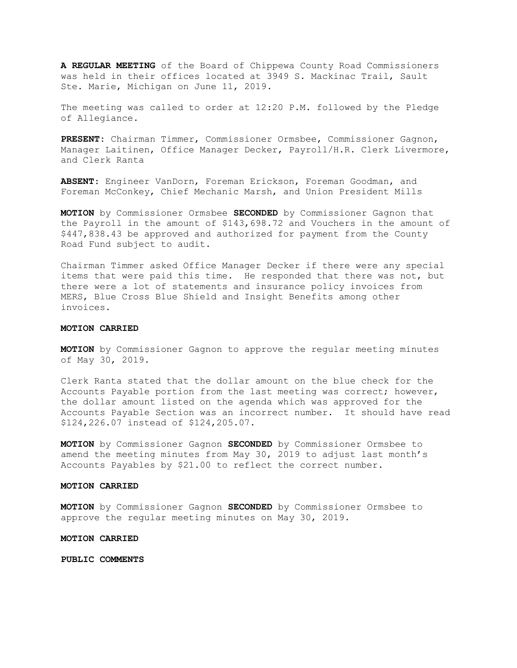A REGULAR MEETING of the Board of Chippewa County Road Commissioners was held in their offices located at 3949 S. Mackinac Trail, Sault Ste. Marie, Michigan on June 11, 2019.

The meeting was called to order at 12:20 P.M. followed by the Pledge of Allegiance.

PRESENT: Chairman Timmer, Commissioner Ormsbee, Commissioner Gagnon, Manager Laitinen, Office Manager Decker, Payroll/H.R. Clerk Livermore, and Clerk Ranta

ABSENT: Engineer VanDorn, Foreman Erickson, Foreman Goodman, and Foreman McConkey, Chief Mechanic Marsh, and Union President Mills

MOTION by Commissioner Ormsbee SECONDED by Commissioner Gagnon that the Payroll in the amount of \$143,698.72 and Vouchers in the amount of \$447,838.43 be approved and authorized for payment from the County Road Fund subject to audit.

Chairman Timmer asked Office Manager Decker if there were any special items that were paid this time. He responded that there was not, but there were a lot of statements and insurance policy invoices from MERS, Blue Cross Blue Shield and Insight Benefits among other invoices.

#### MOTION CARRIED

**MOTION** by Commissioner Gagnon to approve the regular meeting minutes of May 30, 2019.

Clerk Ranta stated that the dollar amount on the blue check for the Accounts Payable portion from the last meeting was correct; however, the dollar amount listed on the agenda which was approved for the Accounts Payable Section was an incorrect number. It should have read \$124,226.07 instead of \$124,205.07.

MOTION by Commissioner Gagnon SECONDED by Commissioner Ormsbee to amend the meeting minutes from May 30, 2019 to adjust last month's Accounts Payables by \$21.00 to reflect the correct number.

### MOTION CARRIED

MOTION by Commissioner Gagnon SECONDED by Commissioner Ormsbee to approve the regular meeting minutes on May 30, 2019.

MOTION CARRIED

PUBLIC COMMENTS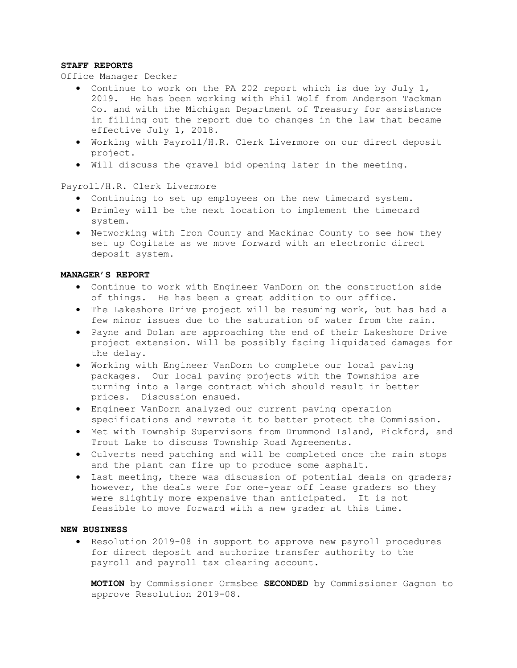### STAFF REPORTS

### Office Manager Decker

- Continue to work on the PA 202 report which is due by July 1, 2019. He has been working with Phil Wolf from Anderson Tackman Co. and with the Michigan Department of Treasury for assistance in filling out the report due to changes in the law that became effective July 1, 2018.
- Working with Payroll/H.R. Clerk Livermore on our direct deposit project.
- Will discuss the gravel bid opening later in the meeting.

## Payroll/H.R. Clerk Livermore

- Continuing to set up employees on the new timecard system.
- Brimley will be the next location to implement the timecard system.
- Networking with Iron County and Mackinac County to see how they set up Cogitate as we move forward with an electronic direct deposit system.

# MANAGER'S REPORT

- Continue to work with Engineer VanDorn on the construction side of things. He has been a great addition to our office.
- The Lakeshore Drive project will be resuming work, but has had a few minor issues due to the saturation of water from the rain.
- Payne and Dolan are approaching the end of their Lakeshore Drive project extension. Will be possibly facing liquidated damages for the delay.
- Working with Engineer VanDorn to complete our local paving packages. Our local paving projects with the Townships are turning into a large contract which should result in better prices. Discussion ensued.
- Engineer VanDorn analyzed our current paving operation specifications and rewrote it to better protect the Commission.
- Met with Township Supervisors from Drummond Island, Pickford, and Trout Lake to discuss Township Road Agreements.
- Culverts need patching and will be completed once the rain stops and the plant can fire up to produce some asphalt.
- Last meeting, there was discussion of potential deals on graders; however, the deals were for one-year off lease graders so they were slightly more expensive than anticipated. It is not feasible to move forward with a new grader at this time.

# NEW BUSINESS

 Resolution 2019-08 in support to approve new payroll procedures for direct deposit and authorize transfer authority to the payroll and payroll tax clearing account.

MOTION by Commissioner Ormsbee SECONDED by Commissioner Gagnon to approve Resolution 2019-08.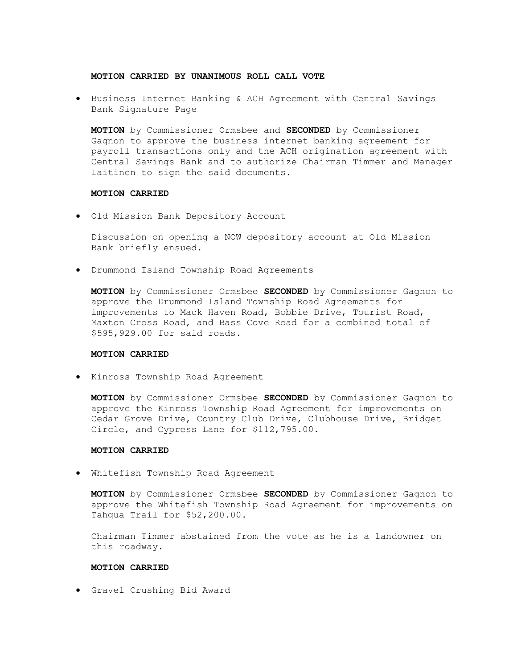### MOTION CARRIED BY UNANIMOUS ROLL CALL VOTE

 Business Internet Banking & ACH Agreement with Central Savings Bank Signature Page

MOTION by Commissioner Ormsbee and SECONDED by Commissioner Gagnon to approve the business internet banking agreement for payroll transactions only and the ACH origination agreement with Central Savings Bank and to authorize Chairman Timmer and Manager Laitinen to sign the said documents.

#### MOTION CARRIED

Old Mission Bank Depository Account

Discussion on opening a NOW depository account at Old Mission Bank briefly ensued.

Drummond Island Township Road Agreements

MOTION by Commissioner Ormsbee SECONDED by Commissioner Gagnon to approve the Drummond Island Township Road Agreements for improvements to Mack Haven Road, Bobbie Drive, Tourist Road, Maxton Cross Road, and Bass Cove Road for a combined total of \$595,929.00 for said roads.

#### MOTION CARRIED

Kinross Township Road Agreement

MOTION by Commissioner Ormsbee SECONDED by Commissioner Gagnon to approve the Kinross Township Road Agreement for improvements on Cedar Grove Drive, Country Club Drive, Clubhouse Drive, Bridget Circle, and Cypress Lane for \$112,795.00.

## MOTION CARRIED

Whitefish Township Road Agreement

MOTION by Commissioner Ormsbee SECONDED by Commissioner Gagnon to approve the Whitefish Township Road Agreement for improvements on Tahqua Trail for \$52,200.00.

Chairman Timmer abstained from the vote as he is a landowner on this roadway.

#### MOTION CARRIED

Gravel Crushing Bid Award